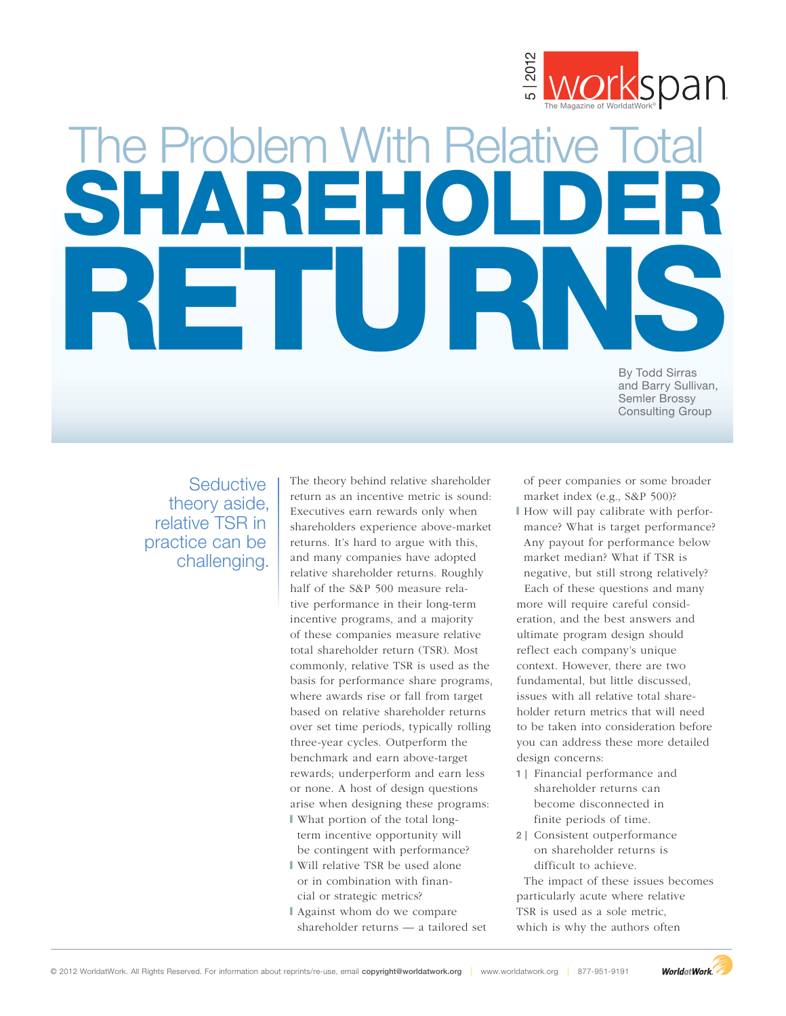

# The Problem With Relative Total SHAREHOLDER **RETURNS** The Problem With Relative Two about reprints relative to  $\frac{3}{8}$  Morrison about representation about representation about representation about representation about representation about  $\frac{3}{8}$  and  $\frac{3}{8}$  and  $\frac{3}{$

By Todd Sirras and Barry Sullivan, Semler Brossy Consulting Group

**Seductive** theory aside, relative TSR in practice can be challenging.

The theory behind relative shareholder return as an incentive metric is sound: Executives earn rewards only when shareholders experience above-market returns. It's hard to argue with this, and many companies have adopted relative shareholder returns. Roughly half of the S&P 500 measure relative performance in their long-term incentive programs, and a majority of these companies measure relative total shareholder return (TSR). Most commonly, relative TSR is used as the basis for performance share programs, where awards rise or fall from target based on relative shareholder returns over set time periods, typically rolling three-year cycles. Outperform the benchmark and earn above-target rewards; underperform and earn less or none. A host of design questions arise when designing these programs: \ What portion of the total long-

term incentive opportunity will be contingent with performance?

- \ Will relative TSR be used alone or in combination with financial or strategic metrics?
- \ Against whom do we compare shareholder returns — a tailored set

of peer companies or some broader market index (e.g., S&P 500)?

- \ How will pay calibrate with performance? What is target performance? Any payout for performance below market median? What if TSR is negative, but still strong relatively? Each of these questions and many more will require careful consideration, and the best answers and ultimate program design should reflect each company's unique context. However, there are two fundamental, but little discussed, issues with all relative total shareholder return metrics that will need to be taken into consideration before you can address these more detailed design concerns:
- **1 |** Financial performance and shareholder returns can become disconnected in finite periods of time.
- **2 |** Consistent outperformance on shareholder returns is difficult to achieve.

The impact of these issues becomes particularly acute where relative TSR is used as a sole metric, which is why the authors often

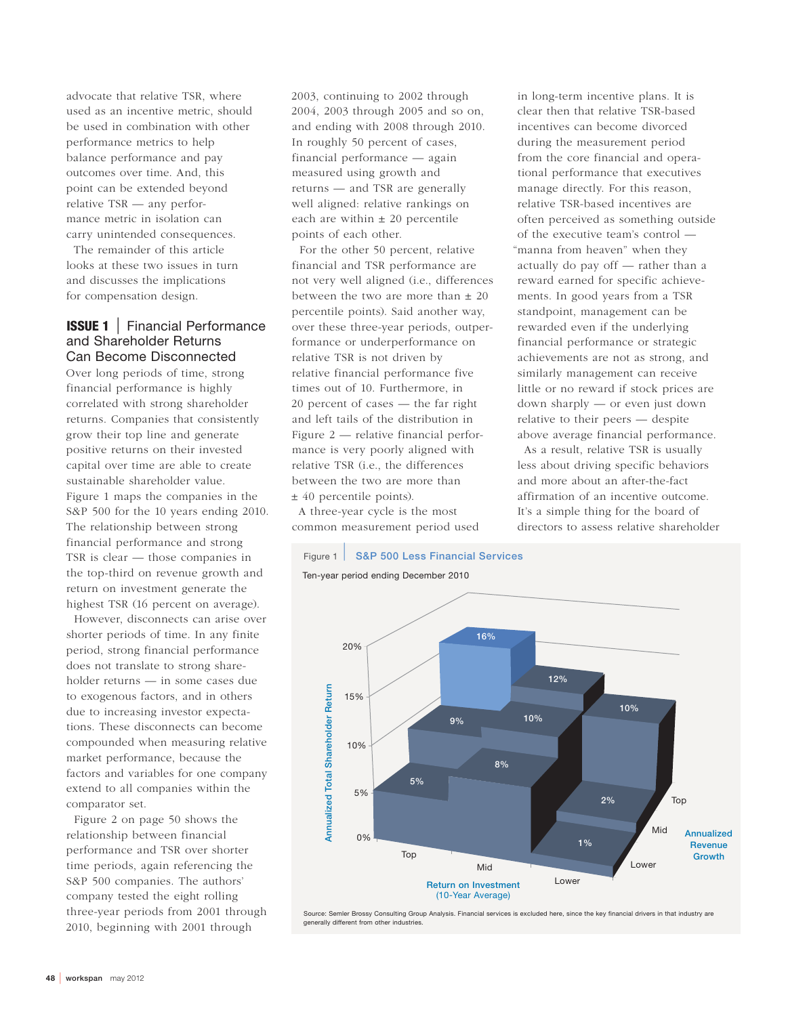advocate that relative TSR, where used as an incentive metric, should be used in combination with other performance metrics to help balance performance and pay outcomes over time. And, this point can be extended beyond relative TSR — any performance metric in isolation can carry unintended consequences.

The remainder of this article looks at these two issues in turn and discusses the implications for compensation design.

# **ISSUE 1** | Financial Performance and Shareholder Returns Can Become Disconnected

Over long periods of time, strong financial performance is highly correlated with strong shareholder returns. Companies that consistently grow their top line and generate positive returns on their invested capital over time are able to create sustainable shareholder value. Figure 1 maps the companies in the S&P 500 for the 10 years ending 2010. The relationship between strong financial performance and strong TSR is clear — those companies in the top-third on revenue growth and return on investment generate the highest TSR (16 percent on average).

However, disconnects can arise over shorter periods of time. In any finite period, strong financial performance does not translate to strong shareholder returns — in some cases due to exogenous factors, and in others due to increasing investor expectations. These disconnects can become compounded when measuring relative market performance, because the factors and variables for one company extend to all companies within the comparator set.

Figure 2 on page 50 shows the relationship between financial performance and TSR over shorter time periods, again referencing the S&P 500 companies. The authors' company tested the eight rolling three-year periods from 2001 through 2010, beginning with 2001 through

2003, continuing to 2002 through 2004, 2003 through 2005 and so on, and ending with 2008 through 2010. In roughly 50 percent of cases, financial performance — again measured using growth and returns — and TSR are generally well aligned: relative rankings on each are within  $\pm 20$  percentile points of each other.

For the other 50 percent, relative financial and TSR performance are not very well aligned (i.e., differences between the two are more than  $\pm 20$ percentile points). Said another way, over these three-year periods, outperformance or underperformance on relative TSR is not driven by relative financial performance five times out of 10. Furthermore, in 20 percent of cases — the far right and left tails of the distribution in Figure 2 — relative financial performance is very poorly aligned with relative TSR (i.e., the differences between the two are more than ± 40 percentile points).

A three-year cycle is the most common measurement period used

in long-term incentive plans. It is clear then that relative TSR-based incentives can become divorced during the measurement period from the core financial and operational performance that executives manage directly. For this reason, relative TSR-based incentives are often perceived as something outside of the executive team's control — "manna from heaven" when they actually do pay off — rather than a reward earned for specific achievements. In good years from a TSR standpoint, management can be rewarded even if the underlying financial performance or strategic achievements are not as strong, and similarly management can receive little or no reward if stock prices are down sharply — or even just down relative to their peers — despite above average financial performance.

As a result, relative TSR is usually less about driving specific behaviors and more about an after-the-fact affirmation of an incentive outcome. It's a simple thing for the board of directors to assess relative shareholder

Figure 1 | **S&P 500 Less Financial Services** Ten-year period ending December 2010



Source: Semler Brossy Consulting Group Analysis. Financial services is excluded here, since the key financial drivers in that industry are generally different from other industries.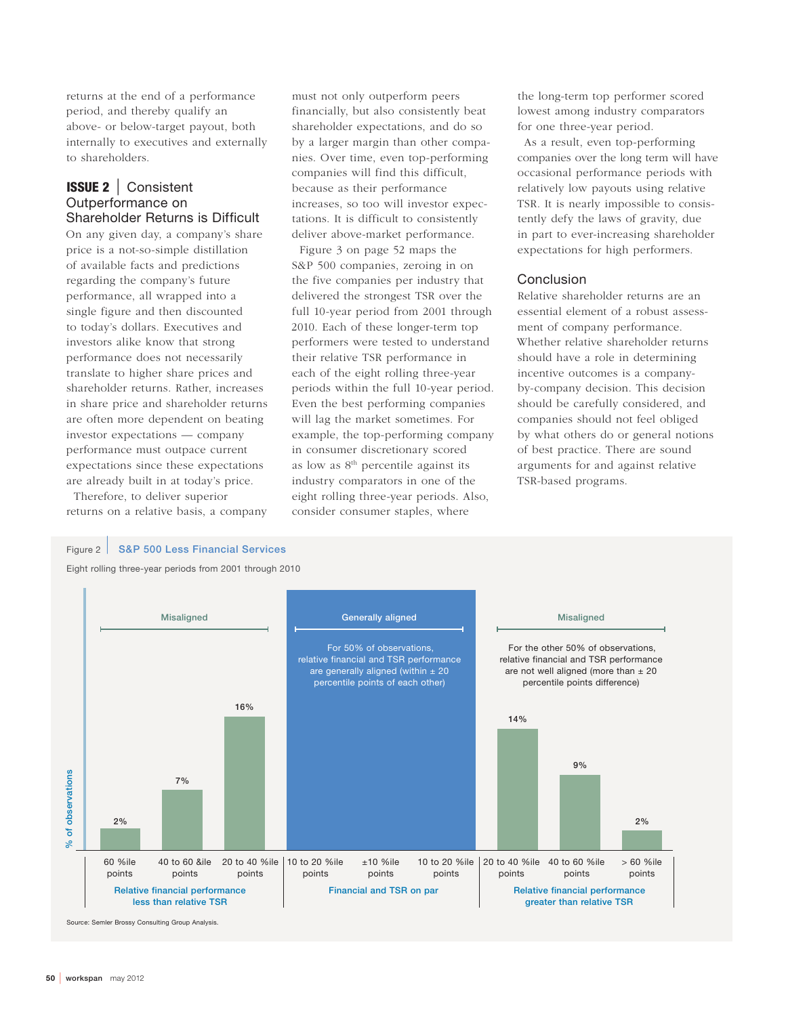returns at the end of a performance period, and thereby qualify an above- or below-target payout, both internally to executives and externally to shareholders.

# **ISSUE 2** | Consistent Outperformance on Shareholder Returns is Difficult

On any given day, a company's share price is a not-so-simple distillation of available facts and predictions regarding the company's future performance, all wrapped into a single figure and then discounted to today's dollars. Executives and investors alike know that strong performance does not necessarily translate to higher share prices and shareholder returns. Rather, increases in share price and shareholder returns are often more dependent on beating investor expectations — company performance must outpace current expectations since these expectations are already built in at today's price.

Therefore, to deliver superior returns on a relative basis, a company must not only outperform peers financially, but also consistently beat shareholder expectations, and do so by a larger margin than other companies. Over time, even top-performing companies will find this difficult, because as their performance increases, so too will investor expectations. It is difficult to consistently deliver above-market performance.

Figure 3 on page 52 maps the S&P 500 companies, zeroing in on the five companies per industry that delivered the strongest TSR over the full 10-year period from 2001 through 2010. Each of these longer-term top performers were tested to understand their relative TSR performance in each of the eight rolling three-year periods within the full 10-year period. Even the best performing companies will lag the market sometimes. For example, the top-performing company in consumer discretionary scored as low as 8<sup>th</sup> percentile against its industry comparators in one of the eight rolling three-year periods. Also, consider consumer staples, where

the long-term top performer scored lowest among industry comparators for one three-year period.

As a result, even top-performing companies over the long term will have occasional performance periods with relatively low payouts using relative TSR. It is nearly impossible to consistently defy the laws of gravity, due in part to ever-increasing shareholder expectations for high performers.

### Conclusion

Relative shareholder returns are an essential element of a robust assessment of company performance. Whether relative shareholder returns should have a role in determining incentive outcomes is a companyby-company decision. This decision should be carefully considered, and companies should not feel obliged by what others do or general notions of best practice. There are sound arguments for and against relative TSR-based programs.

### Figure 2 | **S&P 500 Less Financial Services**

Eight rolling three-year periods from 2001 through 2010



Source: Semler Brossy Consulting Group Analysis.